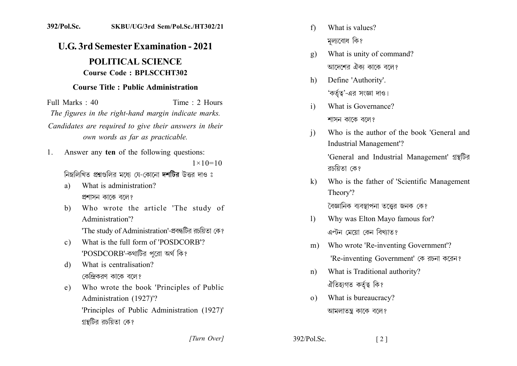## 392/Pol.Sc. SKBU/UG/3rd Sem/Pol.Sc./HT302/21

## **U.G. 3rd Semester Examination - 2021** POLITICAL SCIENCE

## **Course Code: BPLSCCHT302**

## **Course Title: Public Administration**

Time: 2 Hours Full Marks: 40 The figures in the right-hand margin indicate marks. Candidates are required to give their answers in their own words as far as practicable.

Answer any ten of the following questions:  $1_{-}$ 

 $1 \times 10 = 10$ 

নিম্নলিখিত প্রশ্নগুলির মধ্যে যে-কোনো দশটির উত্তর দাও ঃ

- What is administration? a) প্রশাসন কাকে বলে?
- Who wrote the article 'The study of  $b)$ Administration'? 'The study of Administration'-প্ৰবন্ধটির রচয়িতা কে?
- What is the full form of 'POSDCORB'?  $c)$ 'POSDCORB'-কথাটির পুরো অর্থ কি?
- What is centralisation? d) কেন্দ্রিকরণ কাকে বলে?
- Who wrote the book 'Principles of Public  $e)$ Administration (1927)'? 'Principles of Public Administration (1927)' গ্রন্থটির রচয়িতা কে?
- What is values?  $f$ মল্যবোধ কি?
- What is unity of command?  $\mathbf{g}$ ) আদেশের ঐকা কাকে বলে?
- Define 'Authority'.  $h)$ 'কর্তুত্ব'-এর সংজ্ঞা দাও।
- What is Governance?  $\mathbf{i}$ শাসন কাকে বলে?
- Who is the author of the book 'General and  $\mathbf{i}$ **Industrial Management'?** 'General and Industrial Management' গ্রন্থটির রচয়িতা কে?
- Who is the father of 'Scientific Management  $\bf k$ Theory'? বৈজ্ঞানিক ব্যবস্থাপনা তত্ত্বের জনক কে?
- Why was Elton Mayo famous for?  $\mathbf{D}$ এল্টন মেয়ো কেন বিখ্যাত?
- Who wrote 'Re-inventing Government'?  $m)$ 'Re-inventing Government' কে রচনা করেন?
- What is Traditional authority?  $n$ ) ঐতিহ্যগত কৰ্তৃত্ব কি?
- What is bureaucracy?  $(0)$ আমলাতন্ত্র কাকে বলে?

[Turn Over]

392/Pol.Sc.  $\lceil 2 \rceil$